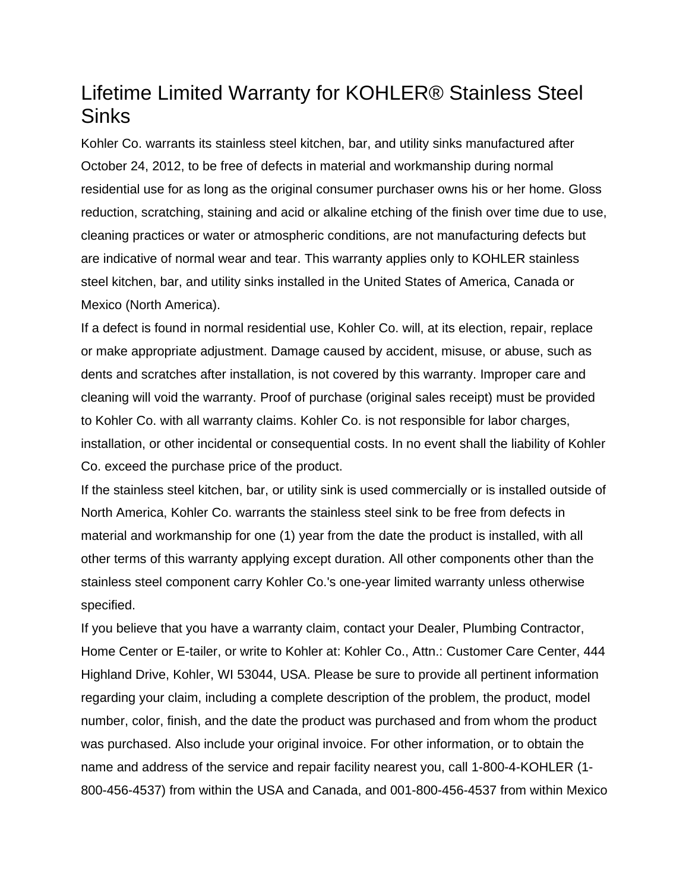## Lifetime Limited Warranty for KOHLER® Stainless Steel **Sinks**

Kohler Co. warrants its stainless steel kitchen, bar, and utility sinks manufactured after October 24, 2012, to be free of defects in material and workmanship during normal residential use for as long as the original consumer purchaser owns his or her home. Gloss reduction, scratching, staining and acid or alkaline etching of the finish over time due to use, cleaning practices or water or atmospheric conditions, are not manufacturing defects but are indicative of normal wear and tear. This warranty applies only to KOHLER stainless steel kitchen, bar, and utility sinks installed in the United States of America, Canada or Mexico (North America).

If a defect is found in normal residential use, Kohler Co. will, at its election, repair, replace or make appropriate adjustment. Damage caused by accident, misuse, or abuse, such as dents and scratches after installation, is not covered by this warranty. Improper care and cleaning will void the warranty. Proof of purchase (original sales receipt) must be provided to Kohler Co. with all warranty claims. Kohler Co. is not responsible for labor charges, installation, or other incidental or consequential costs. In no event shall the liability of Kohler Co. exceed the purchase price of the product.

If the stainless steel kitchen, bar, or utility sink is used commercially or is installed outside of North America, Kohler Co. warrants the stainless steel sink to be free from defects in material and workmanship for one (1) year from the date the product is installed, with all other terms of this warranty applying except duration. All other components other than the stainless steel component carry Kohler Co.'s one-year limited warranty unless otherwise specified.

If you believe that you have a warranty claim, contact your Dealer, Plumbing Contractor, Home Center or E-tailer, or write to Kohler at: Kohler Co., Attn.: Customer Care Center, 444 Highland Drive, Kohler, WI 53044, USA. Please be sure to provide all pertinent information regarding your claim, including a complete description of the problem, the product, model number, color, finish, and the date the product was purchased and from whom the product was purchased. Also include your original invoice. For other information, or to obtain the name and address of the service and repair facility nearest you, call 1-800-4-KOHLER (1- 800-456-4537) from within the USA and Canada, and 001-800-456-4537 from within Mexico